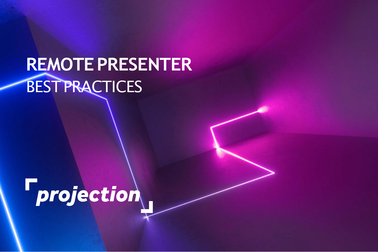# **REMOTEPRESENTER** BESTPRACTICES

**F**projection

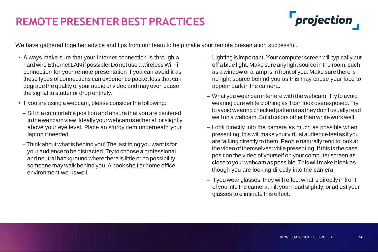## **REMOTEPRESENTERBESTPRACTICES**

We have gathered together advice and tips from our team to help make your remote presentation successful.

| • Always make sure that your Internet connection is through a                                                                                                                                                                                                                             | – L          |
|-------------------------------------------------------------------------------------------------------------------------------------------------------------------------------------------------------------------------------------------------------------------------------------------|--------------|
| hard wire Ethernet LAN if possible. Do not use a wireless Wi-Fi                                                                                                                                                                                                                           | $\mathbf{O}$ |
| connection for your remote presentation if you can avoid it as                                                                                                                                                                                                                            | a            |
| these types of connections can experience packet loss that can                                                                                                                                                                                                                            | n            |
| degrade the quality of your audio or video and may even cause<br>the signal to stutter or drop entirely.                                                                                                                                                                                  | a            |
|                                                                                                                                                                                                                                                                                           | $-0$         |
| • If you are using a webcam, please consider the following:                                                                                                                                                                                                                               | W            |
| - Sit in a comfortable position and ensure that you are centered<br>in the webcam view. Ideally your webcam is either at, or slightly<br>above your eye level. Place an sturdy item underneath your<br>laptop if needed.                                                                  | tc           |
|                                                                                                                                                                                                                                                                                           | W            |
|                                                                                                                                                                                                                                                                                           | – L          |
|                                                                                                                                                                                                                                                                                           | $\mathsf{p}$ |
| - Think about what is behind you! The last thing you want is for<br>your audience to be distracted. Try to choose a professional<br>and neutral background where there is little or no possibility<br>someone may walk behind you. A book shelf or home office<br>environment works well. | a            |
|                                                                                                                                                                                                                                                                                           | th           |
|                                                                                                                                                                                                                                                                                           | p            |
|                                                                                                                                                                                                                                                                                           | CI           |
|                                                                                                                                                                                                                                                                                           | th           |
|                                                                                                                                                                                                                                                                                           | - If         |
|                                                                                                                                                                                                                                                                                           |              |
|                                                                                                                                                                                                                                                                                           |              |



 $\mathbf f$  you wear glasses, they will reflect what is directly in front of you into the camera. Tilt your head slightly, or adjust your glasses to eliminate this effect.

– Lighting is important.Your computer screen will typically put off a blue light. Make sure any light source in the room, such as a window or a lamp is in front of you. Make sure there is no light source behind you as this may cause your face to appear dark in the camera.

Vhat you wear can interfere with the webcam. Try to avoid earing pure white clothing as it can look overexposed. Try bavoid wearing checked patterns as they don't usually read vell on a webcam. Solid colors other than white work well.

ook directly into the camera as much as possible when resenting, this will make your virtual audience feel as if you are talking directly to them. People naturally tend to look at ne video of themselves while presenting. If this is the case osition the video of yourself on your computer screen as lose to your webcam as possible. This will make it look as hough you are looking directly into the camera.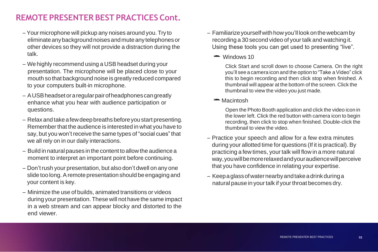## **REMOTE PRESENTER BEST PRACTICES Cont.**

- Your microphone will pickup any noises around you. Try to eliminateanybackgroundnoisesandmuteany telephonesor other devices so they will not provide a distraction during the talk.
- We highly recommend using a USB headset during your presentation. The microphone will be placed close to your mouth so that background noise is greatly reduced compared to your computers built-in microphone.
- AUSBheadsetoraregularpairofheadphonescangreatly enhance what you hear with audience participation or questions.
- Relax and take afewdeepbreaths beforeyoustart presenting. Remember that the audience is interested in what you have to say, but you won't receive the same types of "social cues" that we all rely on in our daily interactions.
- Build in natural pauses in the content toallow the audience a moment to interpret an important point before continuing.
- Don't rush your presentation, but also don't dwell on any one slide too long. A remote presentation should be engaging and your content is key.
- Minimize the use of builds, animated transitions or videos during your presentation. These will not have the same impact in a web stream and can appear blocky and distorted to the end viewer.

– Keepaglassofwaternearbyandtakeadrinkduringa natural pause in your talk if your throat becomes dry.

– Familiarizeyourselfwithhowyou'll lookonthewebcamby recording a 30 second video of your talk and watching it. Using these tools you can get used to presenting "live".

### $\rightarrow$  Windows 10

Click Start and scroll down to choose Camera. On the right you'll see a camera icon and the option to "Take a Video" click this to begin recording and then click stop when finished. A thumbnail will appear at the bottom of the screen. Click the thumbnail to view the video you just made.

### **Macintosh**

Open the Photo Booth application and click the video icon in the lower left. Click the red button with camera icon to begin recording, then click to stop when finished. Double-click the thumbnail to view the video.

– Practice your speech and allow for a few extra minutes during your allotted time for questions (If it is practical). By practicing a few times, your talk will flow in a more natural way,youwillbemorerelaxedandyouraudiencewillperceive that you have confidence in relating your expertise.